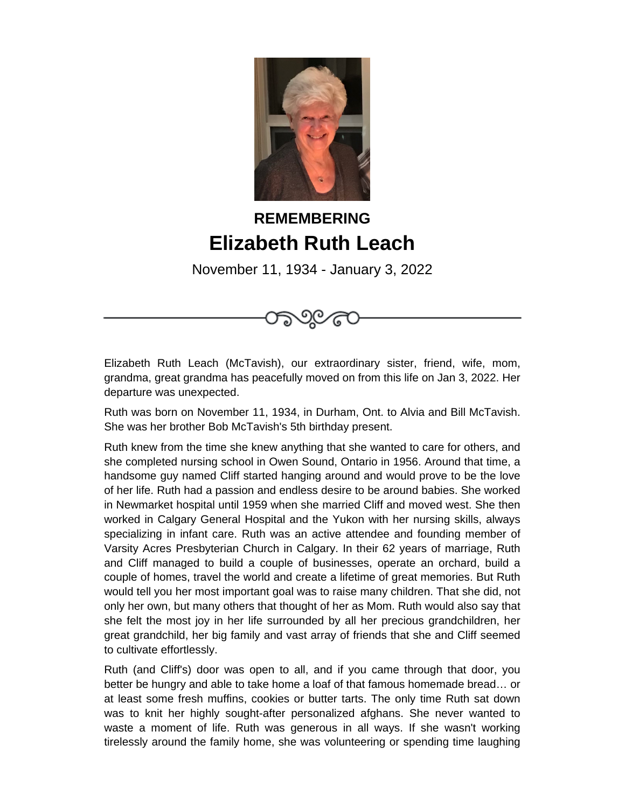

## **REMEMBERING Elizabeth Ruth Leach**

November 11, 1934 - January 3, 2022

೨೦ ೯

Elizabeth Ruth Leach (McTavish), our extraordinary sister, friend, wife, mom, grandma, great grandma has peacefully moved on from this life on Jan 3, 2022. Her departure was unexpected.

Ruth was born on November 11, 1934, in Durham, Ont. to Alvia and Bill McTavish. She was her brother Bob McTavish's 5th birthday present.

Ruth knew from the time she knew anything that she wanted to care for others, and she completed nursing school in Owen Sound, Ontario in 1956. Around that time, a handsome guy named Cliff started hanging around and would prove to be the love of her life. Ruth had a passion and endless desire to be around babies. She worked in Newmarket hospital until 1959 when she married Cliff and moved west. She then worked in Calgary General Hospital and the Yukon with her nursing skills, always specializing in infant care. Ruth was an active attendee and founding member of Varsity Acres Presbyterian Church in Calgary. In their 62 years of marriage, Ruth and Cliff managed to build a couple of businesses, operate an orchard, build a couple of homes, travel the world and create a lifetime of great memories. But Ruth would tell you her most important goal was to raise many children. That she did, not only her own, but many others that thought of her as Mom. Ruth would also say that she felt the most joy in her life surrounded by all her precious grandchildren, her great grandchild, her big family and vast array of friends that she and Cliff seemed to cultivate effortlessly.

Ruth (and Cliff's) door was open to all, and if you came through that door, you better be hungry and able to take home a loaf of that famous homemade bread… or at least some fresh muffins, cookies or butter tarts. The only time Ruth sat down was to knit her highly sought-after personalized afghans. She never wanted to waste a moment of life. Ruth was generous in all ways. If she wasn't working tirelessly around the family home, she was volunteering or spending time laughing